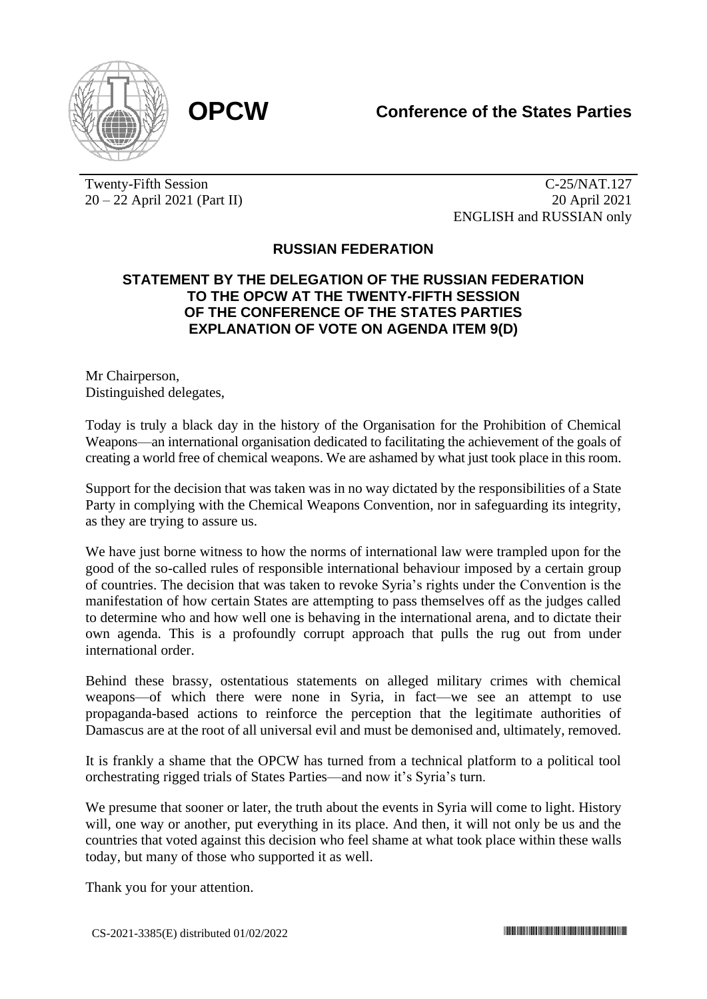

Twenty-Fifth Session 20 – 22 April 2021 (Part II)

C-25/NAT.127 20 April 2021 ENGLISH and RUSSIAN only

## **RUSSIAN FEDERATION**

## **STATEMENT BY THE DELEGATION OF THE RUSSIAN FEDERATION TO THE OPCW AT THE TWENTY-FIFTH SESSION OF THE CONFERENCE OF THE STATES PARTIES EXPLANATION OF VOTE ON AGENDA ITEM 9(D)**

Mr Chairperson, Distinguished delegates,

Today is truly a black day in the history of the Organisation for the Prohibition of Chemical Weapons—an international organisation dedicated to facilitating the achievement of the goals of creating a world free of chemical weapons. We are ashamed by what just took place in this room.

Support for the decision that was taken was in no way dictated by the responsibilities of a State Party in complying with the Chemical Weapons Convention, nor in safeguarding its integrity, as they are trying to assure us.

We have just borne witness to how the norms of international law were trampled upon for the good of the so-called rules of responsible international behaviour imposed by a certain group of countries. The decision that was taken to revoke Syria's rights under the Convention is the manifestation of how certain States are attempting to pass themselves off as the judges called to determine who and how well one is behaving in the international arena, and to dictate their own agenda. This is a profoundly corrupt approach that pulls the rug out from under international order.

Behind these brassy, ostentatious statements on alleged military crimes with chemical weapons—of which there were none in Syria, in fact—we see an attempt to use propaganda-based actions to reinforce the perception that the legitimate authorities of Damascus are at the root of all universal evil and must be demonised and, ultimately, removed.

It is frankly a shame that the OPCW has turned from a technical platform to a political tool orchestrating rigged trials of States Parties—and now it's Syria's turn.

We presume that sooner or later, the truth about the events in Syria will come to light. History will, one way or another, put everything in its place. And then, it will not only be us and the countries that voted against this decision who feel shame at what took place within these walls today, but many of those who supported it as well.

Thank you for your attention.